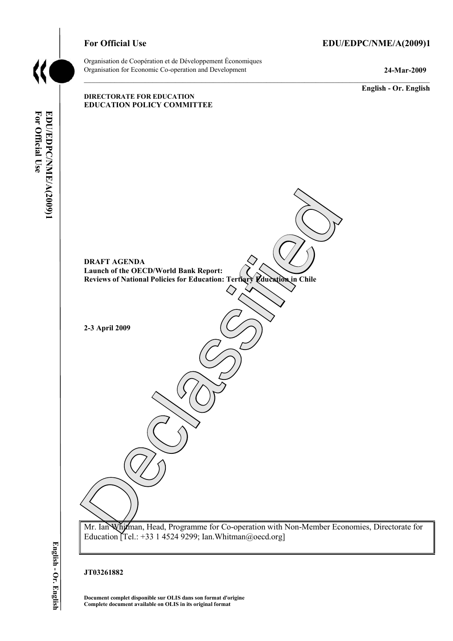#### For Official Use **EDU/EDPC/NME/A(2009)1**

Organisation de Coopération et de Développement Économiques Organisation for Economic Co-operation and Development **24-Mar-2009** 

**English - Or. English** 

# DRAFT AGENDA<br>
Lanneh of the OECD/World Bank Report:<br>
Reviews of National Policies for Education: ? crearly Muchalon, in Chile<br>
2-3 April 2009<br>
2-3 April 2009<br>
2-3 April 2009<br>
2-3 April 2009<br>
2-3 April 2009 **DIRECTORATE FOR EDUCATION EDUCATION POLICY COMMITTEE DRAFT AGENDA Launch of the OECD/World Bank Report: Reviews of National Policies for Education: Tertiary Education in Chile 2-3 April 2009**  Mr. Ian Whitman, Head, Programme for Co-operation with Non-Member Economies, Directorate for Education Tel.: +33 1 4524 9299; Ian. Whitman@oecd.org]

English - Or. English

#### **JT03261882**

**Document complet disponible sur OLIS dans son format d'origine Complete document available on OLIS in its original format**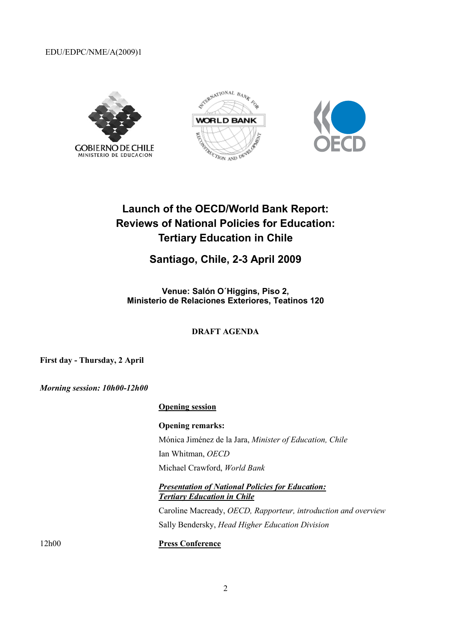EDU/EDPC/NME/A(2009)1







# **Launch of the OECD/World Bank Report: Reviews of National Policies for Education: Tertiary Education in Chile**

## **Santiago, Chile, 2-3 April 2009**

**Venue: Salón O´Higgins, Piso 2, Ministerio de Relaciones Exteriores, Teatinos 120** 

#### **DRAFT AGENDA**

**First day - Thursday, 2 April** 

*Morning session: 10h00-12h00* 

#### **Opening session**

**Opening remarks:**  Mónica Jiménez de la Jara, *Minister of Education, Chile*  Ian Whitman, *OECD*  Michael Crawford, *World Bank* 

#### *Presentation of National Policies for Education: Tertiary Education in Chile*

Caroline Macready, *OECD, Rapporteur, introduction and overview*  Sally Bendersky, *Head Higher Education Division* 

12h00 **Press Conference**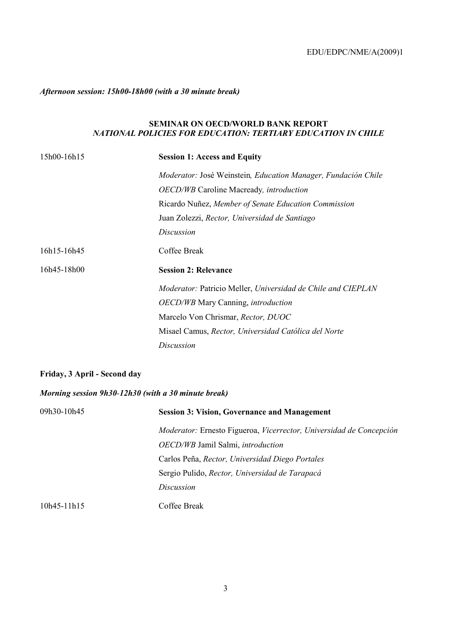#### *Afternoon session: 15h00-18h00 (with a 30 minute break)*

#### **SEMINAR ON OECD/WORLD BANK REPORT** *NATIONAL POLICIES FOR EDUCATION: TERTIARY EDUCATION IN CHILE*

| 15h00-16h15 | <b>Session 1: Access and Equity</b>                           |
|-------------|---------------------------------------------------------------|
|             | Moderator: José Weinstein, Education Manager, Fundación Chile |
|             | OECD/WB Caroline Macready, introduction                       |
|             | Ricardo Nuñez, Member of Senate Education Commission          |
|             | Juan Zolezzi, Rector, Universidad de Santiago                 |
|             | Discussion                                                    |
| 16h15-16h45 | Coffee Break                                                  |
| 16h45-18h00 | <b>Session 2: Relevance</b>                                   |
|             | Moderator: Patricio Meller, Universidad de Chile and CIEPLAN  |
|             | <b>OECD/WB</b> Mary Canning, introduction                     |
|             | Marcelo Von Chrismar, Rector, DUOC                            |
|             | Misael Camus, Rector, Universidad Católica del Norte          |
|             | Discussion                                                    |

#### **Friday, 3 April - Second day**

#### *Morning session 9h30-12h30 (with a 30 minute break)*

| 09h30-10h45     | <b>Session 3: Vision, Governance and Management</b>                 |
|-----------------|---------------------------------------------------------------------|
|                 | Moderator: Ernesto Figueroa, Vicerrector, Universidad de Concepción |
|                 | <i>OECD/WB</i> Jamil Salmi, <i>introduction</i>                     |
|                 | Carlos Peña, Rector, Universidad Diego Portales                     |
|                 | Sergio Pulido, Rector, Universidad de Tarapacá                      |
|                 | Discussion                                                          |
| $10h45 - 11h15$ | Coffee Break                                                        |